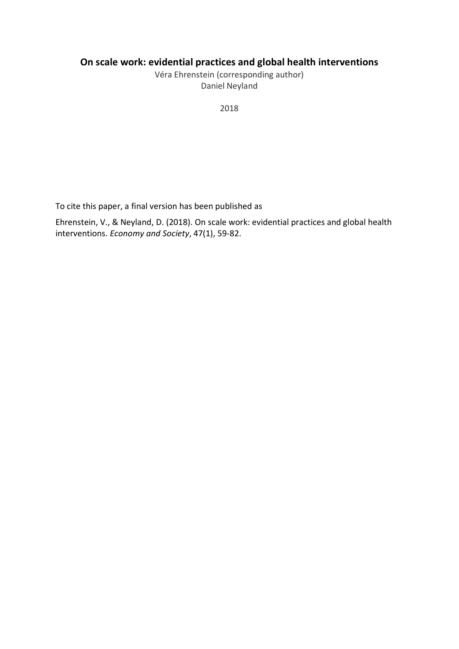# **On scale work: evidential practices and global health interventions**

Véra Ehrenstein (corresponding author) Daniel Neyland

2018

To cite this paper, a final version has been published as

Ehrenstein, V., & Neyland, D. (2018). On scale work: evidential practices and global health interventions. *Economy and Society*, 47(1), 59-82.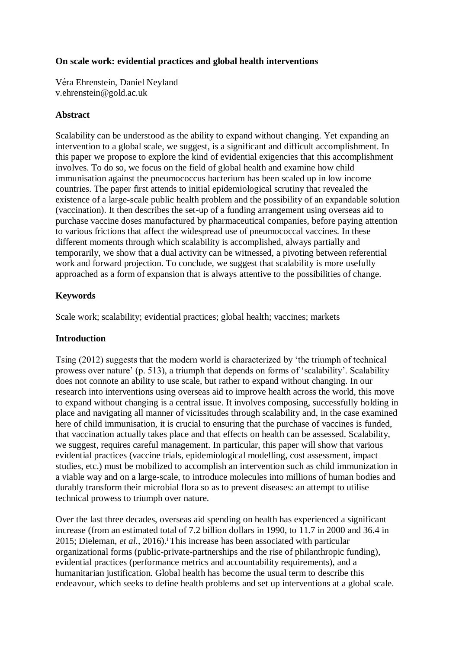# **On scale work: evidential practices and global health interventions**

Véra Ehrenstein, Daniel Neyland v.ehrenstein@gold.ac.uk

## **Abstract**

Scalability can be understood as the ability to expand without changing. Yet expanding an intervention to a global scale, we suggest, is a significant and difficult accomplishment. In this paper we propose to explore the kind of evidential exigencies that this accomplishment involves. To do so, we focus on the field of global health and examine how child immunisation against the pneumococcus bacterium has been scaled up in low income countries. The paper first attends to initial epidemiological scrutiny that revealed the existence of a large-scale public health problem and the possibility of an expandable solution (vaccination). It then describes the set-up of a funding arrangement using overseas aid to purchase vaccine doses manufactured by pharmaceutical companies, before paying attention to various frictions that affect the widespread use of pneumococcal vaccines. In these different moments through which scalability is accomplished, always partially and temporarily, we show that a dual activity can be witnessed, a pivoting between referential work and forward projection. To conclude, we suggest that scalability is more usefully approached as a form of expansion that is always attentive to the possibilities of change.

#### **Keywords**

Scale work; scalability; evidential practices; global health; vaccines; markets

#### **Introduction**

Tsing (2012) suggests that the modern world is characterized by 'the triumph of technical prowess over nature' (p. 513), a triumph that depends on forms of 'scalability'. Scalability does not connote an ability to use scale, but rather to expand without changing. In our research into interventions using overseas aid to improve health across the world, this move to expand without changing is a central issue. It involves composing, successfully holding in place and navigating all manner of vicissitudes through scalability and, in the case examined here of child immunisation, it is crucial to ensuring that the purchase of vaccines is funded, that vaccination actually takes place and that effects on health can be assessed. Scalability, we suggest, requires careful management. In particular, this paper will show that various evidential practices (vaccine trials, epidemiological modelling, cost assessment, impact studies, etc.) must be mobilized to accomplish an intervention such as child immunization in a viable way and on a large-scale, to introduce molecules into millions of human bodies and durably transform their microbial flora so as to prevent diseases: an attempt to utilise technical prowess to triumph over nature.

Over the last three decades, overseas aid spending on health has experienced a significant increase (from an estimated total of 7.2 billion dollars in 1990, to 11.7 in 2000 and 36.4 in 2015; Dieleman, *et al.*, 2016).<sup>i</sup> This increase has been associated with particular organizational forms (public-private-partnerships and the rise of philanthropic funding), evidential practices (performance metrics and accountability requirements), and a humanitarian justification. Global health has become the usual term to describe this endeavour, which seeks to define health problems and set up interventions at a global scale.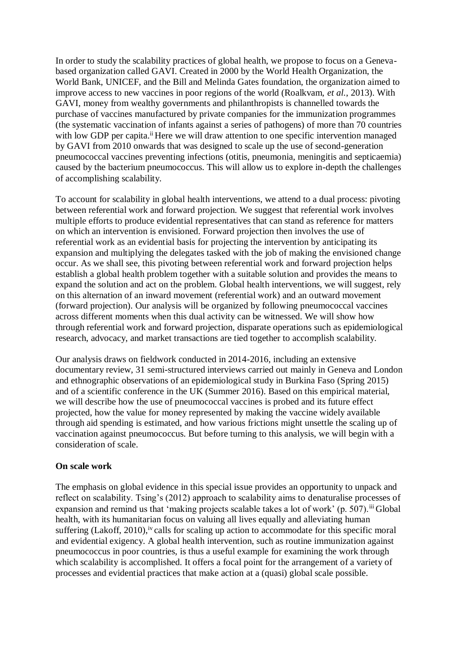In order to study the scalability practices of global health, we propose to focus on a Genevabased organization called GAVI. Created in 2000 by the World Health Organization, the World Bank, UNICEF, and the Bill and Melinda Gates foundation, the organization aimed to improve access to new vaccines in poor regions of the world (Roalkvam, *et al.*, 2013). With GAVI, money from wealthy governments and philanthropists is channelled towards the purchase of vaccines manufactured by private companies for the immunization programmes (the systematic vaccination of infants against a series of pathogens) of more than 70 countries with low GDP per capita.<sup>ii</sup> Here we will draw attention to one specific intervention managed by GAVI from 2010 onwards that was designed to scale up the use of second-generation pneumococcal vaccines preventing infections (otitis, pneumonia, meningitis and septicaemia) caused by the bacterium pneumococcus. This will allow us to explore in-depth the challenges of accomplishing scalability.

To account for scalability in global health interventions, we attend to a dual process: pivoting between referential work and forward projection. We suggest that referential work involves multiple efforts to produce evidential representatives that can stand as reference for matters on which an intervention is envisioned. Forward projection then involves the use of referential work as an evidential basis for projecting the intervention by anticipating its expansion and multiplying the delegates tasked with the job of making the envisioned change occur. As we shall see, this pivoting between referential work and forward projection helps establish a global health problem together with a suitable solution and provides the means to expand the solution and act on the problem. Global health interventions, we will suggest, rely on this alternation of an inward movement (referential work) and an outward movement (forward projection). Our analysis will be organized by following pneumococcal vaccines across different moments when this dual activity can be witnessed. We will show how through referential work and forward projection, disparate operations such as epidemiological research, advocacy, and market transactions are tied together to accomplish scalability.

Our analysis draws on fieldwork conducted in 2014-2016, including an extensive documentary review, 31 semi-structured interviews carried out mainly in Geneva and London and ethnographic observations of an epidemiological study in Burkina Faso (Spring 2015) and of a scientific conference in the UK (Summer 2016). Based on this empirical material, we will describe how the use of pneumococcal vaccines is probed and its future effect projected, how the value for money represented by making the vaccine widely available through aid spending is estimated, and how various frictions might unsettle the scaling up of vaccination against pneumococcus. But before turning to this analysis, we will begin with a consideration of scale.

#### **On scale work**

The emphasis on global evidence in this special issue provides an opportunity to unpack and reflect on scalability. Tsing's (2012) approach to scalability aims to denaturalise processes of expansion and remind us that 'making projects scalable takes a lot of work' (p. 507).<sup>iii</sup> Global health, with its humanitarian focus on valuing all lives equally and alleviating human suffering (Lakoff, 2010),<sup>iv</sup> calls for scaling up action to accommodate for this specific moral and evidential exigency. A global health intervention, such as routine immunization against pneumococcus in poor countries, is thus a useful example for examining the work through which scalability is accomplished. It offers a focal point for the arrangement of a variety of processes and evidential practices that make action at a (quasi) global scale possible.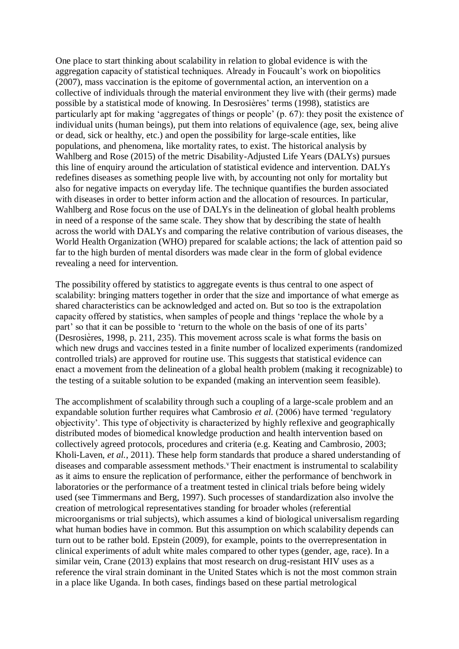One place to start thinking about scalability in relation to global evidence is with the aggregation capacity of statistical techniques. Already in Foucault's work on biopolitics (2007), mass vaccination is the epitome of governmental action, an intervention on a collective of individuals through the material environment they live with (their germs) made possible by a statistical mode of knowing. In Desrosières' terms (1998), statistics are particularly apt for making 'aggregates of things or people' (p. 67): they posit the existence of individual units (human beings), put them into relations of equivalence (age, sex, being alive or dead, sick or healthy, etc.) and open the possibility for large-scale entities, like populations, and phenomena, like mortality rates, to exist. The historical analysis by Wahlberg and Rose (2015) of the metric Disability-Adjusted Life Years (DALYs) pursues this line of enquiry around the articulation of statistical evidence and intervention. DALYs redefines diseases as something people live with, by accounting not only for mortality but also for negative impacts on everyday life. The technique quantifies the burden associated with diseases in order to better inform action and the allocation of resources. In particular, Wahlberg and Rose focus on the use of DALYs in the delineation of global health problems in need of a response of the same scale. They show that by describing the state of health across the world with DALYs and comparing the relative contribution of various diseases, the World Health Organization (WHO) prepared for scalable actions; the lack of attention paid so far to the high burden of mental disorders was made clear in the form of global evidence revealing a need for intervention.

The possibility offered by statistics to aggregate events is thus central to one aspect of scalability: bringing matters together in order that the size and importance of what emerge as shared characteristics can be acknowledged and acted on. But so too is the extrapolation capacity offered by statistics, when samples of people and things 'replace the whole by a part' so that it can be possible to 'return to the whole on the basis of one of its parts' (Desrosières, 1998, p. 211, 235). This movement across scale is what forms the basis on which new drugs and vaccines tested in a finite number of localized experiments (randomized controlled trials) are approved for routine use. This suggests that statistical evidence can enact a movement from the delineation of a global health problem (making it recognizable) to the testing of a suitable solution to be expanded (making an intervention seem feasible).

The accomplishment of scalability through such a coupling of a large-scale problem and an expandable solution further requires what Cambrosio *et al.* (2006) have termed 'regulatory objectivity'. This type of objectivity is characterized by highly reflexive and geographically distributed modes of biomedical knowledge production and health intervention based on collectively agreed protocols, procedures and criteria (e.g. Keating and Cambrosio, 2003; Kholi-Laven, *et al.*, 2011). These help form standards that produce a shared understanding of diseases and comparable assessment methods. <sup>v</sup>Their enactment is instrumental to scalability as it aims to ensure the replication of performance, either the performance of benchwork in laboratories or the performance of a treatment tested in clinical trials before being widely used (see Timmermans and Berg, 1997). Such processes of standardization also involve the creation of metrological representatives standing for broader wholes (referential microorganisms or trial subjects), which assumes a kind of biological universalism regarding what human bodies have in common. But this assumption on which scalability depends can turn out to be rather bold. Epstein (2009), for example, points to the overrepresentation in clinical experiments of adult white males compared to other types (gender, age, race). In a similar vein, Crane (2013) explains that most research on drug-resistant HIV uses as a reference the viral strain dominant in the United States which is not the most common strain in a place like Uganda. In both cases, findings based on these partial metrological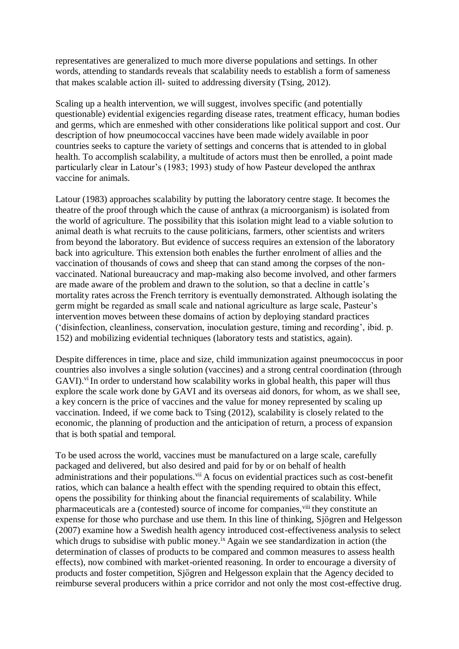representatives are generalized to much more diverse populations and settings. In other words, attending to standards reveals that scalability needs to establish a form of sameness that makes scalable action ill- suited to addressing diversity (Tsing, 2012).

Scaling up a health intervention, we will suggest, involves specific (and potentially questionable) evidential exigencies regarding disease rates, treatment efficacy, human bodies and germs, which are enmeshed with other considerations like political support and cost. Our description of how pneumococcal vaccines have been made widely available in poor countries seeks to capture the variety of settings and concerns that is attended to in global health. To accomplish scalability, a multitude of actors must then be enrolled, a point made particularly clear in Latour's (1983; 1993) study of how Pasteur developed the anthrax vaccine for animals.

Latour (1983) approaches scalability by putting the laboratory centre stage. It becomes the theatre of the proof through which the cause of anthrax (a microorganism) is isolated from the world of agriculture. The possibility that this isolation might lead to a viable solution to animal death is what recruits to the cause politicians, farmers, other scientists and writers from beyond the laboratory. But evidence of success requires an extension of the laboratory back into agriculture. This extension both enables the further enrolment of allies and the vaccination of thousands of cows and sheep that can stand among the corpses of the nonvaccinated. National bureaucracy and map-making also become involved, and other farmers are made aware of the problem and drawn to the solution, so that a decline in cattle's mortality rates across the French territory is eventually demonstrated. Although isolating the germ might be regarded as small scale and national agriculture as large scale, Pasteur's intervention moves between these domains of action by deploying standard practices ('disinfection, cleanliness, conservation, inoculation gesture, timing and recording', ibid. p. 152) and mobilizing evidential techniques (laboratory tests and statistics, again).

Despite differences in time, place and size, child immunization against pneumococcus in poor countries also involves a single solution (vaccines) and a strong central coordination (through GAVI).<sup>vi</sup> In order to understand how scalability works in global health, this paper will thus explore the scale work done by GAVI and its overseas aid donors, for whom, as we shall see, a key concern is the price of vaccines and the value for money represented by scaling up vaccination. Indeed, if we come back to Tsing (2012), scalability is closely related to the economic, the planning of production and the anticipation of return, a process of expansion that is both spatial and temporal.

To be used across the world, vaccines must be manufactured on a large scale, carefully packaged and delivered, but also desired and paid for by or on behalf of health administrations and their populations.<sup>vii</sup> A focus on evidential practices such as cost-benefit ratios, which can balance a health effect with the spending required to obtain this effect, opens the possibility for thinking about the financial requirements of scalability. While pharmaceuticals are a (contested) source of income for companies, viliative constitute an expense for those who purchase and use them. In this line of thinking, Sjögren and Helgesson (2007) examine how a Swedish health agency introduced cost-effectiveness analysis to select which drugs to subsidise with public money.<sup>ix</sup> Again we see standardization in action (the determination of classes of products to be compared and common measures to assess health effects), now combined with market-oriented reasoning. In order to encourage a diversity of products and foster competition, Sjögren and Helgesson explain that the Agency decided to reimburse several producers within a price corridor and not only the most cost-effective drug.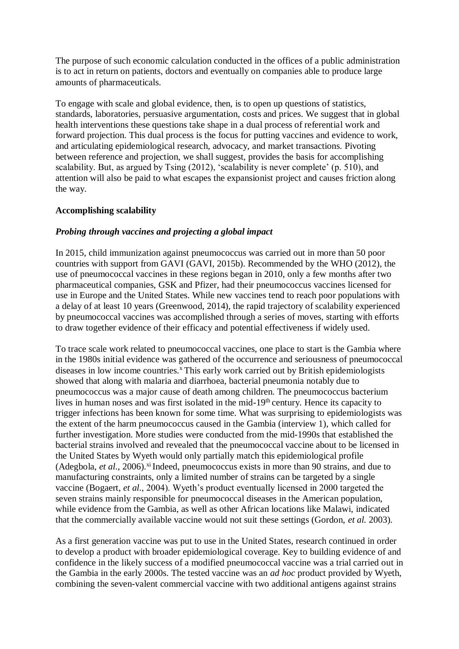The purpose of such economic calculation conducted in the offices of a public administration is to act in return on patients, doctors and eventually on companies able to produce large amounts of pharmaceuticals.

To engage with scale and global evidence, then, is to open up questions of statistics, standards, laboratories, persuasive argumentation, costs and prices. We suggest that in global health interventions these questions take shape in a dual process of referential work and forward projection. This dual process is the focus for putting vaccines and evidence to work, and articulating epidemiological research, advocacy, and market transactions. Pivoting between reference and projection, we shall suggest, provides the basis for accomplishing scalability. But, as argued by Tsing (2012), 'scalability is never complete' (p. 510), and attention will also be paid to what escapes the expansionist project and causes friction along the way.

#### **Accomplishing scalability**

#### *Probing through vaccines and projecting a global impact*

In 2015, child immunization against pneumococcus was carried out in more than 50 poor countries with support from GAVI (GAVI, 2015b). Recommended by the WHO (2012), the use of pneumococcal vaccines in these regions began in 2010, only a few months after two pharmaceutical companies, GSK and Pfizer, had their pneumococcus vaccines licensed for use in Europe and the United States. While new vaccines tend to reach poor populations with a delay of at least 10 years (Greenwood, 2014), the rapid trajectory of scalability experienced by pneumococcal vaccines was accomplished through a series of moves, starting with efforts to draw together evidence of their efficacy and potential effectiveness if widely used.

To trace scale work related to pneumococcal vaccines, one place to start is the Gambia where in the 1980s initial evidence was gathered of the occurrence and seriousness of pneumococcal diseases in low income countries.<sup>x</sup> This early work carried out by British epidemiologists showed that along with malaria and diarrhoea, bacterial pneumonia notably due to pneumococcus was a major cause of death among children. The pneumococcus bacterium lives in human noses and was first isolated in the mid-19<sup>th</sup> century. Hence its capacity to trigger infections has been known for some time. What was surprising to epidemiologists was the extent of the harm pneumococcus caused in the Gambia (interview 1), which called for further investigation. More studies were conducted from the mid-1990s that established the bacterial strains involved and revealed that the pneumococcal vaccine about to be licensed in the United States by Wyeth would only partially match this epidemiological profile (Adegbola, *et al.*, 2006).<sup>xi</sup> Indeed, pneumococcus exists in more than 90 strains, and due to manufacturing constraints, only a limited number of strains can be targeted by a single vaccine (Bogaert, *et al.*, 2004). Wyeth's product eventually licensed in 2000 targeted the seven strains mainly responsible for pneumococcal diseases in the American population, while evidence from the Gambia, as well as other African locations like Malawi, indicated that the commercially available vaccine would not suit these settings (Gordon, *et al.* 2003).

As a first generation vaccine was put to use in the United States, research continued in order to develop a product with broader epidemiological coverage. Key to building evidence of and confidence in the likely success of a modified pneumococcal vaccine was a trial carried out in the Gambia in the early 2000s. The tested vaccine was an *ad hoc* product provided by Wyeth, combining the seven-valent commercial vaccine with two additional antigens against strains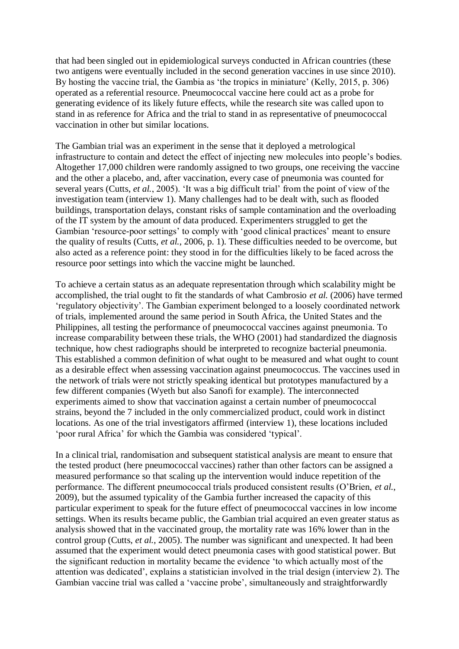that had been singled out in epidemiological surveys conducted in African countries (these two antigens were eventually included in the second generation vaccines in use since 2010). By hosting the vaccine trial, the Gambia as 'the tropics in miniature' (Kelly, 2015, p. 306) operated as a referential resource. Pneumococcal vaccine here could act as a probe for generating evidence of its likely future effects, while the research site was called upon to stand in as reference for Africa and the trial to stand in as representative of pneumococcal vaccination in other but similar locations.

The Gambian trial was an experiment in the sense that it deployed a metrological infrastructure to contain and detect the effect of injecting new molecules into people's bodies. Altogether 17,000 children were randomly assigned to two groups, one receiving the vaccine and the other a placebo, and, after vaccination, every case of pneumonia was counted for several years (Cutts, *et al.*, 2005). 'It was a big difficult trial' from the point of view of the investigation team (interview 1). Many challenges had to be dealt with, such as flooded buildings, transportation delays, constant risks of sample contamination and the overloading of the IT system by the amount of data produced. Experimenters struggled to get the Gambian 'resource-poor settings' to comply with 'good clinical practices' meant to ensure the quality of results (Cutts, *et al.*, 2006, p. 1). These difficulties needed to be overcome, but also acted as a reference point: they stood in for the difficulties likely to be faced across the resource poor settings into which the vaccine might be launched.

To achieve a certain status as an adequate representation through which scalability might be accomplished, the trial ought to fit the standards of what Cambrosio *et al.* (2006) have termed 'regulatory objectivity'. The Gambian experiment belonged to a loosely coordinated network of trials, implemented around the same period in South Africa, the United States and the Philippines, all testing the performance of pneumococcal vaccines against pneumonia. To increase comparability between these trials, the WHO (2001) had standardized the diagnosis technique, how chest radiographs should be interpreted to recognize bacterial pneumonia. This established a common definition of what ought to be measured and what ought to count as a desirable effect when assessing vaccination against pneumococcus. The vaccines used in the network of trials were not strictly speaking identical but prototypes manufactured by a few different companies (Wyeth but also Sanofi for example). The interconnected experiments aimed to show that vaccination against a certain number of pneumococcal strains, beyond the 7 included in the only commercialized product, could work in distinct locations. As one of the trial investigators affirmed (interview 1), these locations included 'poor rural Africa' for which the Gambia was considered 'typical'.

In a clinical trial, randomisation and subsequent statistical analysis are meant to ensure that the tested product (here pneumococcal vaccines) rather than other factors can be assigned a measured performance so that scaling up the intervention would induce repetition of the performance. The different pneumococcal trials produced consistent results (O'Brien, *et al.*, 2009), but the assumed typicality of the Gambia further increased the capacity of this particular experiment to speak for the future effect of pneumococcal vaccines in low income settings. When its results became public, the Gambian trial acquired an even greater status as analysis showed that in the vaccinated group, the mortality rate was 16% lower than in the control group (Cutts, *et al.*, 2005). The number was significant and unexpected. It had been assumed that the experiment would detect pneumonia cases with good statistical power. But the significant reduction in mortality became the evidence 'to which actually most of the attention was dedicated', explains a statistician involved in the trial design (interview 2). The Gambian vaccine trial was called a 'vaccine probe', simultaneously and straightforwardly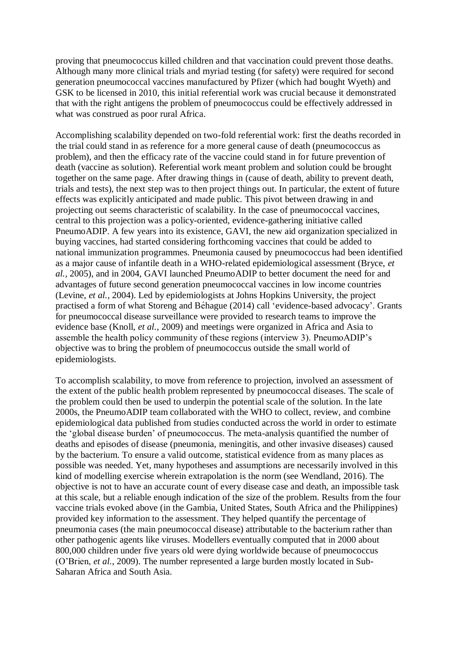proving that pneumococcus killed children and that vaccination could prevent those deaths. Although many more clinical trials and myriad testing (for safety) were required for second generation pneumococcal vaccines manufactured by Pfizer (which had bought Wyeth) and GSK to be licensed in 2010, this initial referential work was crucial because it demonstrated that with the right antigens the problem of pneumococcus could be effectively addressed in what was construed as poor rural Africa.

Accomplishing scalability depended on two-fold referential work: first the deaths recorded in the trial could stand in as reference for a more general cause of death (pneumococcus as problem), and then the efficacy rate of the vaccine could stand in for future prevention of death (vaccine as solution). Referential work meant problem and solution could be brought together on the same page. After drawing things in (cause of death, ability to prevent death, trials and tests), the next step was to then project things out. In particular, the extent of future effects was explicitly anticipated and made public. This pivot between drawing in and projecting out seems characteristic of scalability. In the case of pneumococcal vaccines, central to this projection was a policy-oriented, evidence-gathering initiative called PneumoADIP. A few years into its existence, GAVI, the new aid organization specialized in buying vaccines, had started considering forthcoming vaccines that could be added to national immunization programmes. Pneumonia caused by pneumococcus had been identified as a major cause of infantile death in a WHO-related epidemiological assessment (Bryce, *et al.*, 2005), and in 2004, GAVI launched PneumoADIP to better document the need for and advantages of future second generation pneumococcal vaccines in low income countries (Levine, *et al.*, 2004). Led by epidemiologists at Johns Hopkins University, the project practised a form of what Storeng and Béhague (2014) call 'evidence-based advocacy'. Grants for pneumococcal disease surveillance were provided to research teams to improve the evidence base (Knoll, *et al.*, 2009) and meetings were organized in Africa and Asia to assemble the health policy community of these regions (interview 3). PneumoADIP's objective was to bring the problem of pneumococcus outside the small world of epidemiologists.

To accomplish scalability, to move from reference to projection, involved an assessment of the extent of the public health problem represented by pneumococcal diseases. The scale of the problem could then be used to underpin the potential scale of the solution. In the late 2000s, the PneumoADIP team collaborated with the WHO to collect, review, and combine epidemiological data published from studies conducted across the world in order to estimate the 'global disease burden' of pneumococcus. The meta-analysis quantified the number of deaths and episodes of disease (pneumonia, meningitis, and other invasive diseases) caused by the bacterium. To ensure a valid outcome, statistical evidence from as many places as possible was needed. Yet, many hypotheses and assumptions are necessarily involved in this kind of modelling exercise wherein extrapolation is the norm (see Wendland, 2016). The objective is not to have an accurate count of every disease case and death, an impossible task at this scale, but a reliable enough indication of the size of the problem. Results from the four vaccine trials evoked above (in the Gambia, United States, South Africa and the Philippines) provided key information to the assessment. They helped quantify the percentage of pneumonia cases (the main pneumococcal disease) attributable to the bacterium rather than other pathogenic agents like viruses. Modellers eventually computed that in 2000 about 800,000 children under five years old were dying worldwide because of pneumococcus (O'Brien, *et al.*, 2009). The number represented a large burden mostly located in Sub-Saharan Africa and South Asia.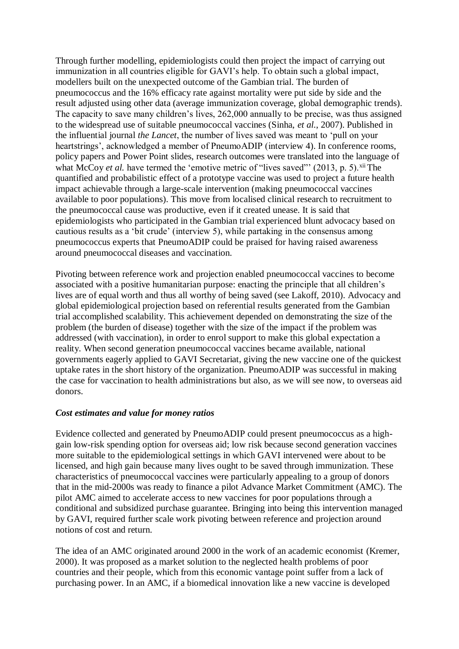Through further modelling, epidemiologists could then project the impact of carrying out immunization in all countries eligible for GAVI's help. To obtain such a global impact, modellers built on the unexpected outcome of the Gambian trial. The burden of pneumococcus and the 16% efficacy rate against mortality were put side by side and the result adjusted using other data (average immunization coverage, global demographic trends). The capacity to save many children's lives, 262,000 annually to be precise, was thus assigned to the widespread use of suitable pneumococcal vaccines (Sinha, *et al.*, 2007). Published in the influential journal *the Lancet*, the number of lives saved was meant to 'pull on your heartstrings', acknowledged a member of PneumoADIP (interview 4). In conference rooms, policy papers and Power Point slides, research outcomes were translated into the language of what McCoy *et al.* have termed the 'emotive metric of "lives saved"' (2013, p. 5).<sup>xii</sup> The quantified and probabilistic effect of a prototype vaccine was used to project a future health impact achievable through a large-scale intervention (making pneumococcal vaccines available to poor populations). This move from localised clinical research to recruitment to the pneumococcal cause was productive, even if it created unease. It is said that epidemiologists who participated in the Gambian trial experienced blunt advocacy based on cautious results as a 'bit crude' (interview 5), while partaking in the consensus among pneumococcus experts that PneumoADIP could be praised for having raised awareness around pneumococcal diseases and vaccination.

Pivoting between reference work and projection enabled pneumococcal vaccines to become associated with a positive humanitarian purpose: enacting the principle that all children's lives are of equal worth and thus all worthy of being saved (see Lakoff, 2010). Advocacy and global epidemiological projection based on referential results generated from the Gambian trial accomplished scalability. This achievement depended on demonstrating the size of the problem (the burden of disease) together with the size of the impact if the problem was addressed (with vaccination), in order to enrol support to make this global expectation a reality. When second generation pneumococcal vaccines became available, national governments eagerly applied to GAVI Secretariat, giving the new vaccine one of the quickest uptake rates in the short history of the organization. PneumoADIP was successful in making the case for vaccination to health administrations but also, as we will see now, to overseas aid donors.

#### *Cost estimates and value for money ratios*

Evidence collected and generated by PneumoADIP could present pneumococcus as a highgain low-risk spending option for overseas aid; low risk because second generation vaccines more suitable to the epidemiological settings in which GAVI intervened were about to be licensed, and high gain because many lives ought to be saved through immunization. These characteristics of pneumococcal vaccines were particularly appealing to a group of donors that in the mid-2000s was ready to finance a pilot Advance Market Commitment (AMC). The pilot AMC aimed to accelerate access to new vaccines for poor populations through a conditional and subsidized purchase guarantee. Bringing into being this intervention managed by GAVI, required further scale work pivoting between reference and projection around notions of cost and return.

The idea of an AMC originated around 2000 in the work of an academic economist (Kremer, 2000). It was proposed as a market solution to the neglected health problems of poor countries and their people, which from this economic vantage point suffer from a lack of purchasing power. In an AMC, if a biomedical innovation like a new vaccine is developed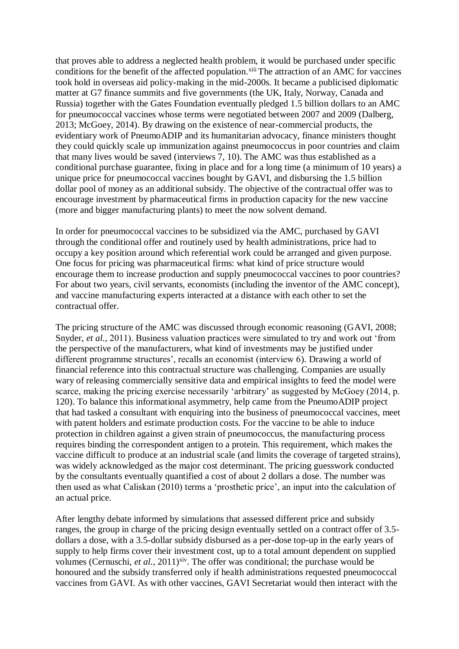that proves able to address a neglected health problem, it would be purchased under specific conditions for the benefit of the affected population.<sup>xiii</sup> The attraction of an AMC for vaccines took hold in overseas aid policy-making in the mid-2000s. It became a publicised diplomatic matter at G7 finance summits and five governments (the UK, Italy, Norway, Canada and Russia) together with the Gates Foundation eventually pledged 1.5 billion dollars to an AMC for pneumococcal vaccines whose terms were negotiated between 2007 and 2009 (Dalberg, 2013; McGoey, 2014). By drawing on the existence of near-commercial products, the evidentiary work of PneumoADIP and its humanitarian advocacy, finance ministers thought they could quickly scale up immunization against pneumococcus in poor countries and claim that many lives would be saved (interviews 7, 10). The AMC was thus established as a conditional purchase guarantee, fixing in place and for a long time (a minimum of 10 years) a unique price for pneumococcal vaccines bought by GAVI, and disbursing the 1.5 billion dollar pool of money as an additional subsidy. The objective of the contractual offer was to encourage investment by pharmaceutical firms in production capacity for the new vaccine (more and bigger manufacturing plants) to meet the now solvent demand.

In order for pneumococcal vaccines to be subsidized via the AMC, purchased by GAVI through the conditional offer and routinely used by health administrations, price had to occupy a key position around which referential work could be arranged and given purpose. One focus for pricing was pharmaceutical firms: what kind of price structure would encourage them to increase production and supply pneumococcal vaccines to poor countries? For about two years, civil servants, economists (including the inventor of the AMC concept), and vaccine manufacturing experts interacted at a distance with each other to set the contractual offer.

The pricing structure of the AMC was discussed through economic reasoning (GAVI, 2008; Snyder, *et al.,* 2011). Business valuation practices were simulated to try and work out 'from the perspective of the manufacturers, what kind of investments may be justified under different programme structures', recalls an economist (interview 6). Drawing a world of financial reference into this contractual structure was challenging. Companies are usually wary of releasing commercially sensitive data and empirical insights to feed the model were scarce, making the pricing exercise necessarily 'arbitrary' as suggested by McGoey (2014, p. 120). To balance this informational asymmetry, help came from the PneumoADIP project that had tasked a consultant with enquiring into the business of pneumococcal vaccines, meet with patent holders and estimate production costs. For the vaccine to be able to induce protection in children against a given strain of pneumococcus, the manufacturing process requires binding the correspondent antigen to a protein. This requirement, which makes the vaccine difficult to produce at an industrial scale (and limits the coverage of targeted strains), was widely acknowledged as the major cost determinant. The pricing guesswork conducted by the consultants eventually quantified a cost of about 2 dollars a dose. The number was then used as what Caliskan (2010) terms a 'prosthetic price', an input into the calculation of an actual price.

After lengthy debate informed by simulations that assessed different price and subsidy ranges, the group in charge of the pricing design eventually settled on a contract offer of 3.5 dollars a dose, with a 3.5-dollar subsidy disbursed as a per-dose top-up in the early years of supply to help firms cover their investment cost, up to a total amount dependent on supplied volumes (Cernuschi, *et al.*, 2011)<sup>xiv</sup>. The offer was conditional; the purchase would be honoured and the subsidy transferred only if health administrations requested pneumococcal vaccines from GAVI. As with other vaccines, GAVI Secretariat would then interact with the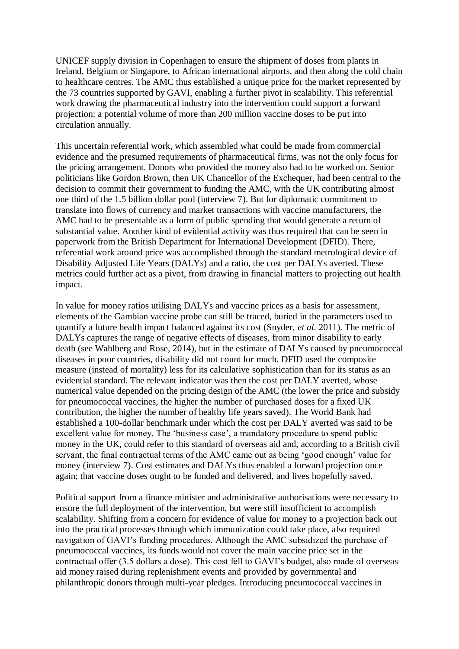UNICEF supply division in Copenhagen to ensure the shipment of doses from plants in Ireland, Belgium or Singapore, to African international airports, and then along the cold chain to healthcare centres. The AMC thus established a unique price for the market represented by the 73 countries supported by GAVI, enabling a further pivot in scalability. This referential work drawing the pharmaceutical industry into the intervention could support a forward projection: a potential volume of more than 200 million vaccine doses to be put into circulation annually.

This uncertain referential work, which assembled what could be made from commercial evidence and the presumed requirements of pharmaceutical firms, was not the only focus for the pricing arrangement. Donors who provided the money also had to be worked on. Senior politicians like Gordon Brown, then UK Chancellor of the Exchequer, had been central to the decision to commit their government to funding the AMC, with the UK contributing almost one third of the 1.5 billion dollar pool (interview 7). But for diplomatic commitment to translate into flows of currency and market transactions with vaccine manufacturers, the AMC had to be presentable as a form of public spending that would generate a return of substantial value. Another kind of evidential activity was thus required that can be seen in paperwork from the British Department for International Development (DFID). There, referential work around price was accomplished through the standard metrological device of Disability Adjusted Life Years (DALYs) and a ratio, the cost per DALYs averted. These metrics could further act as a pivot, from drawing in financial matters to projecting out health impact.

In value for money ratios utilising DALYs and vaccine prices as a basis for assessment, elements of the Gambian vaccine probe can still be traced, buried in the parameters used to quantify a future health impact balanced against its cost (Snyder, *et al.* 2011). The metric of DALYs captures the range of negative effects of diseases, from minor disability to early death (see Wahlberg and Rose, 2014), but in the estimate of DALYs caused by pneumococcal diseases in poor countries, disability did not count for much. DFID used the composite measure (instead of mortality) less for its calculative sophistication than for its status as an evidential standard. The relevant indicator was then the cost per DALY averted, whose numerical value depended on the pricing design of the AMC (the lower the price and subsidy for pneumococcal vaccines, the higher the number of purchased doses for a fixed UK contribution, the higher the number of healthy life years saved). The World Bank had established a 100-dollar benchmark under which the cost per DALY averted was said to be excellent value for money. The 'business case', a mandatory procedure to spend public money in the UK, could refer to this standard of overseas aid and, according to a British civil servant, the final contractual terms of the AMC came out as being 'good enough' value for money (interview 7). Cost estimates and DALYs thus enabled a forward projection once again; that vaccine doses ought to be funded and delivered, and lives hopefully saved.

Political support from a finance minister and administrative authorisations were necessary to ensure the full deployment of the intervention, but were still insufficient to accomplish scalability. Shifting from a concern for evidence of value for money to a projection back out into the practical processes through which immunization could take place, also required navigation of GAVI's funding procedures. Although the AMC subsidized the purchase of pneumococcal vaccines, its funds would not cover the main vaccine price set in the contractual offer (3.5 dollars a dose). This cost fell to GAVI's budget, also made of overseas aid money raised during replenishment events and provided by governmental and philanthropic donors through multi-year pledges. Introducing pneumococcal vaccines in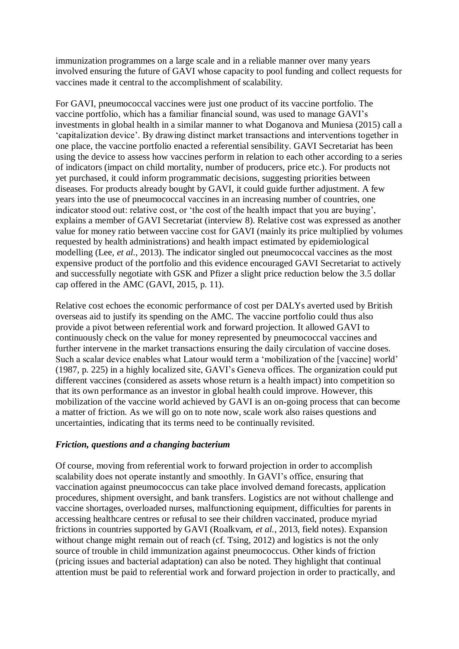immunization programmes on a large scale and in a reliable manner over many years involved ensuring the future of GAVI whose capacity to pool funding and collect requests for vaccines made it central to the accomplishment of scalability.

For GAVI, pneumococcal vaccines were just one product of its vaccine portfolio. The vaccine portfolio, which has a familiar financial sound, was used to manage GAVI's investments in global health in a similar manner to what Doganova and Muniesa (2015) call a 'capitalization device'. By drawing distinct market transactions and interventions together in one place, the vaccine portfolio enacted a referential sensibility. GAVI Secretariat has been using the device to assess how vaccines perform in relation to each other according to a series of indicators (impact on child mortality, number of producers, price etc.). For products not yet purchased, it could inform programmatic decisions, suggesting priorities between diseases. For products already bought by GAVI, it could guide further adjustment. A few years into the use of pneumococcal vaccines in an increasing number of countries, one indicator stood out: relative cost, or 'the cost of the health impact that you are buying', explains a member of GAVI Secretariat (interview 8). Relative cost was expressed as another value for money ratio between vaccine cost for GAVI (mainly its price multiplied by volumes requested by health administrations) and health impact estimated by epidemiological modelling (Lee, *et al.*, 2013). The indicator singled out pneumococcal vaccines as the most expensive product of the portfolio and this evidence encouraged GAVI Secretariat to actively and successfully negotiate with GSK and Pfizer a slight price reduction below the 3.5 dollar cap offered in the AMC (GAVI, 2015, p. 11).

Relative cost echoes the economic performance of cost per DALYs averted used by British overseas aid to justify its spending on the AMC. The vaccine portfolio could thus also provide a pivot between referential work and forward projection. It allowed GAVI to continuously check on the value for money represented by pneumococcal vaccines and further intervene in the market transactions ensuring the daily circulation of vaccine doses. Such a scalar device enables what Latour would term a 'mobilization of the [vaccine] world' (1987, p. 225) in a highly localized site, GAVI's Geneva offices. The organization could put different vaccines (considered as assets whose return is a health impact) into competition so that its own performance as an investor in global health could improve. However, this mobilization of the vaccine world achieved by GAVI is an on-going process that can become a matter of friction. As we will go on to note now, scale work also raises questions and uncertainties, indicating that its terms need to be continually revisited.

# *Friction, questions and a changing bacterium*

Of course, moving from referential work to forward projection in order to accomplish scalability does not operate instantly and smoothly. In GAVI's office, ensuring that vaccination against pneumococcus can take place involved demand forecasts, application procedures, shipment oversight, and bank transfers. Logistics are not without challenge and vaccine shortages, overloaded nurses, malfunctioning equipment, difficulties for parents in accessing healthcare centres or refusal to see their children vaccinated, produce myriad frictions in countries supported by GAVI (Roalkvam, *et al.*, 2013, field notes). Expansion without change might remain out of reach (cf. Tsing, 2012) and logistics is not the only source of trouble in child immunization against pneumococcus. Other kinds of friction (pricing issues and bacterial adaptation) can also be noted. They highlight that continual attention must be paid to referential work and forward projection in order to practically, and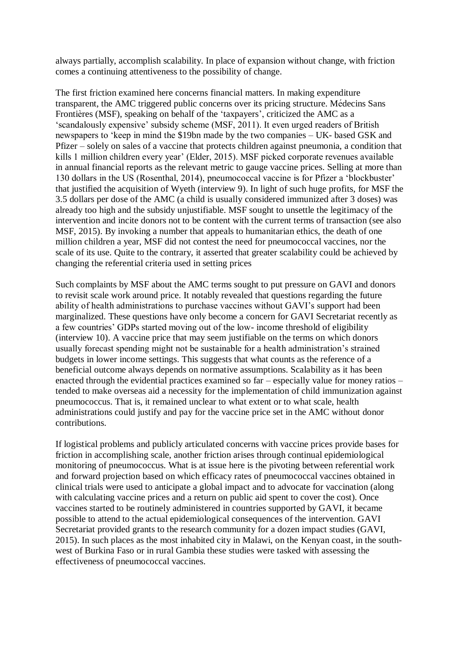always partially, accomplish scalability. In place of expansion without change, with friction comes a continuing attentiveness to the possibility of change.

The first friction examined here concerns financial matters. In making expenditure transparent, the AMC triggered public concerns over its pricing structure. Médecins Sans Frontières (MSF), speaking on behalf of the 'taxpayers', criticized the AMC as a 'scandalously expensive' subsidy scheme (MSF, 2011). It even urged readers of British newspapers to 'keep in mind the \$19bn made by the two companies – UK- based GSK and Pfizer – solely on sales of a vaccine that protects children against pneumonia, a condition that kills 1 million children every year' (Elder, 2015). MSF picked corporate revenues available in annual financial reports as the relevant metric to gauge vaccine prices. Selling at more than 130 dollars in the US (Rosenthal, 2014), pneumococcal vaccine is for Pfizer a 'blockbuster' that justified the acquisition of Wyeth (interview 9). In light of such huge profits, for MSF the 3.5 dollars per dose of the AMC (a child is usually considered immunized after 3 doses) was already too high and the subsidy unjustifiable. MSF sought to unsettle the legitimacy of the intervention and incite donors not to be content with the current terms of transaction (see also MSF, 2015). By invoking a number that appeals to humanitarian ethics, the death of one million children a year, MSF did not contest the need for pneumococcal vaccines, nor the scale of its use. Quite to the contrary, it asserted that greater scalability could be achieved by changing the referential criteria used in setting prices

Such complaints by MSF about the AMC terms sought to put pressure on GAVI and donors to revisit scale work around price. It notably revealed that questions regarding the future ability of health administrations to purchase vaccines without GAVI's support had been marginalized. These questions have only become a concern for GAVI Secretariat recently as a few countries' GDPs started moving out of the low- income threshold of eligibility (interview 10). A vaccine price that may seem justifiable on the terms on which donors usually forecast spending might not be sustainable for a health administration's strained budgets in lower income settings. This suggests that what counts as the reference of a beneficial outcome always depends on normative assumptions. Scalability as it has been enacted through the evidential practices examined so far – especially value for money ratios – tended to make overseas aid a necessity for the implementation of child immunization against pneumococcus. That is, it remained unclear to what extent or to what scale, health administrations could justify and pay for the vaccine price set in the AMC without donor contributions.

If logistical problems and publicly articulated concerns with vaccine prices provide bases for friction in accomplishing scale, another friction arises through continual epidemiological monitoring of pneumococcus. What is at issue here is the pivoting between referential work and forward projection based on which efficacy rates of pneumococcal vaccines obtained in clinical trials were used to anticipate a global impact and to advocate for vaccination (along with calculating vaccine prices and a return on public aid spent to cover the cost). Once vaccines started to be routinely administered in countries supported by GAVI, it became possible to attend to the actual epidemiological consequences of the intervention. GAVI Secretariat provided grants to the research community for a dozen impact studies (GAVI, 2015). In such places as the most inhabited city in Malawi, on the Kenyan coast, in the southwest of Burkina Faso or in rural Gambia these studies were tasked with assessing the effectiveness of pneumococcal vaccines.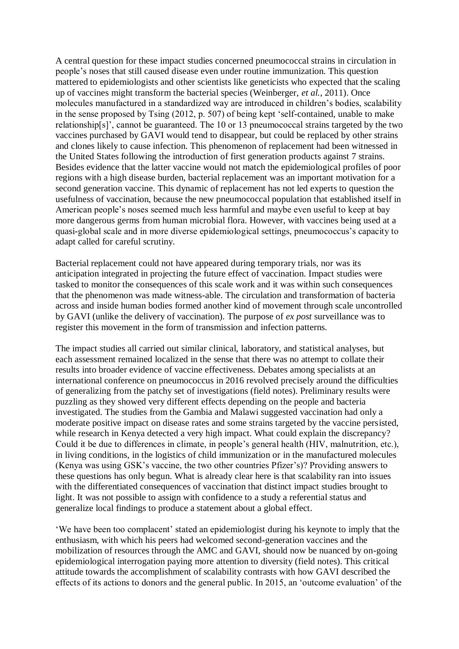A central question for these impact studies concerned pneumococcal strains in circulation in people's noses that still caused disease even under routine immunization. This question mattered to epidemiologists and other scientists like geneticists who expected that the scaling up of vaccines might transform the bacterial species (Weinberger, *et al.*, 2011). Once molecules manufactured in a standardized way are introduced in children's bodies, scalability in the sense proposed by Tsing (2012, p. 507) of being kept 'self-contained, unable to make relationship[s]', cannot be guaranteed. The 10 or 13 pneumococcal strains targeted by the two vaccines purchased by GAVI would tend to disappear, but could be replaced by other strains and clones likely to cause infection. This phenomenon of replacement had been witnessed in the United States following the introduction of first generation products against 7 strains. Besides evidence that the latter vaccine would not match the epidemiological profiles of poor regions with a high disease burden, bacterial replacement was an important motivation for a second generation vaccine. This dynamic of replacement has not led experts to question the usefulness of vaccination, because the new pneumococcal population that established itself in American people's noses seemed much less harmful and maybe even useful to keep at bay more dangerous germs from human microbial flora. However, with vaccines being used at a quasi-global scale and in more diverse epidemiological settings, pneumococcus's capacity to adapt called for careful scrutiny.

Bacterial replacement could not have appeared during temporary trials, nor was its anticipation integrated in projecting the future effect of vaccination. Impact studies were tasked to monitor the consequences of this scale work and it was within such consequences that the phenomenon was made witness-able. The circulation and transformation of bacteria across and inside human bodies formed another kind of movement through scale uncontrolled by GAVI (unlike the delivery of vaccination). The purpose of *ex post* surveillance was to register this movement in the form of transmission and infection patterns.

The impact studies all carried out similar clinical, laboratory, and statistical analyses, but each assessment remained localized in the sense that there was no attempt to collate their results into broader evidence of vaccine effectiveness. Debates among specialists at an international conference on pneumococcus in 2016 revolved precisely around the difficulties of generalizing from the patchy set of investigations (field notes). Preliminary results were puzzling as they showed very different effects depending on the people and bacteria investigated. The studies from the Gambia and Malawi suggested vaccination had only a moderate positive impact on disease rates and some strains targeted by the vaccine persisted, while research in Kenya detected a very high impact. What could explain the discrepancy? Could it be due to differences in climate, in people's general health (HIV, malnutrition, etc.), in living conditions, in the logistics of child immunization or in the manufactured molecules (Kenya was using GSK's vaccine, the two other countries Pfizer's)? Providing answers to these questions has only begun. What is already clear here is that scalability ran into issues with the differentiated consequences of vaccination that distinct impact studies brought to light. It was not possible to assign with confidence to a study a referential status and generalize local findings to produce a statement about a global effect.

'We have been too complacent' stated an epidemiologist during his keynote to imply that the enthusiasm, with which his peers had welcomed second-generation vaccines and the mobilization of resources through the AMC and GAVI, should now be nuanced by on-going epidemiological interrogation paying more attention to diversity (field notes). This critical attitude towards the accomplishment of scalability contrasts with how GAVI described the effects of its actions to donors and the general public. In 2015, an 'outcome evaluation' of the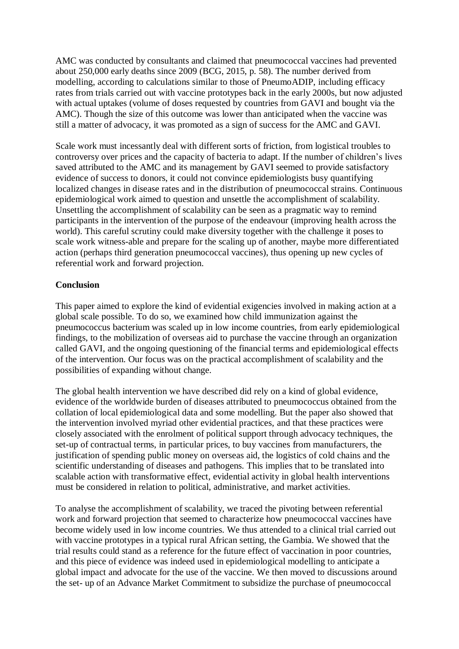AMC was conducted by consultants and claimed that pneumococcal vaccines had prevented about 250,000 early deaths since 2009 (BCG, 2015, p. 58). The number derived from modelling, according to calculations similar to those of PneumoADIP, including efficacy rates from trials carried out with vaccine prototypes back in the early 2000s, but now adjusted with actual uptakes (volume of doses requested by countries from GAVI and bought via the AMC). Though the size of this outcome was lower than anticipated when the vaccine was still a matter of advocacy, it was promoted as a sign of success for the AMC and GAVI.

Scale work must incessantly deal with different sorts of friction, from logistical troubles to controversy over prices and the capacity of bacteria to adapt. If the number of children's lives saved attributed to the AMC and its management by GAVI seemed to provide satisfactory evidence of success to donors, it could not convince epidemiologists busy quantifying localized changes in disease rates and in the distribution of pneumococcal strains. Continuous epidemiological work aimed to question and unsettle the accomplishment of scalability. Unsettling the accomplishment of scalability can be seen as a pragmatic way to remind participants in the intervention of the purpose of the endeavour (improving health across the world). This careful scrutiny could make diversity together with the challenge it poses to scale work witness-able and prepare for the scaling up of another, maybe more differentiated action (perhaps third generation pneumococcal vaccines), thus opening up new cycles of referential work and forward projection.

#### **Conclusion**

This paper aimed to explore the kind of evidential exigencies involved in making action at a global scale possible. To do so, we examined how child immunization against the pneumococcus bacterium was scaled up in low income countries, from early epidemiological findings, to the mobilization of overseas aid to purchase the vaccine through an organization called GAVI, and the ongoing questioning of the financial terms and epidemiological effects of the intervention. Our focus was on the practical accomplishment of scalability and the possibilities of expanding without change.

The global health intervention we have described did rely on a kind of global evidence, evidence of the worldwide burden of diseases attributed to pneumococcus obtained from the collation of local epidemiological data and some modelling. But the paper also showed that the intervention involved myriad other evidential practices, and that these practices were closely associated with the enrolment of political support through advocacy techniques, the set-up of contractual terms, in particular prices, to buy vaccines from manufacturers, the justification of spending public money on overseas aid, the logistics of cold chains and the scientific understanding of diseases and pathogens. This implies that to be translated into scalable action with transformative effect, evidential activity in global health interventions must be considered in relation to political, administrative, and market activities.

To analyse the accomplishment of scalability, we traced the pivoting between referential work and forward projection that seemed to characterize how pneumococcal vaccines have become widely used in low income countries. We thus attended to a clinical trial carried out with vaccine prototypes in a typical rural African setting, the Gambia. We showed that the trial results could stand as a reference for the future effect of vaccination in poor countries, and this piece of evidence was indeed used in epidemiological modelling to anticipate a global impact and advocate for the use of the vaccine. We then moved to discussions around the set- up of an Advance Market Commitment to subsidize the purchase of pneumococcal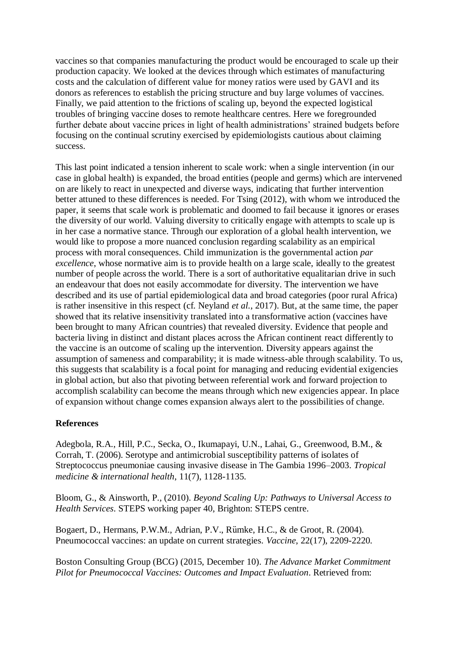vaccines so that companies manufacturing the product would be encouraged to scale up their production capacity. We looked at the devices through which estimates of manufacturing costs and the calculation of different value for money ratios were used by GAVI and its donors as references to establish the pricing structure and buy large volumes of vaccines. Finally, we paid attention to the frictions of scaling up, beyond the expected logistical troubles of bringing vaccine doses to remote healthcare centres. Here we foregrounded further debate about vaccine prices in light of health administrations' strained budgets before focusing on the continual scrutiny exercised by epidemiologists cautious about claiming success.

This last point indicated a tension inherent to scale work: when a single intervention (in our case in global health) is expanded, the broad entities (people and germs) which are intervened on are likely to react in unexpected and diverse ways, indicating that further intervention better attuned to these differences is needed. For Tsing (2012), with whom we introduced the paper, it seems that scale work is problematic and doomed to fail because it ignores or erases the diversity of our world. Valuing diversity to critically engage with attempts to scale up is in her case a normative stance. Through our exploration of a global health intervention, we would like to propose a more nuanced conclusion regarding scalability as an empirical process with moral consequences. Child immunization is the governmental action *par excellence*, whose normative aim is to provide health on a large scale, ideally to the greatest number of people across the world. There is a sort of authoritative equalitarian drive in such an endeavour that does not easily accommodate for diversity. The intervention we have described and its use of partial epidemiological data and broad categories (poor rural Africa) is rather insensitive in this respect (cf. Neyland *et al.*, 2017). But, at the same time, the paper showed that its relative insensitivity translated into a transformative action (vaccines have been brought to many African countries) that revealed diversity. Evidence that people and bacteria living in distinct and distant places across the African continent react differently to the vaccine is an outcome of scaling up the intervention. Diversity appears against the assumption of sameness and comparability; it is made witness-able through scalability. To us, this suggests that scalability is a focal point for managing and reducing evidential exigencies in global action, but also that pivoting between referential work and forward projection to accomplish scalability can become the means through which new exigencies appear. In place of expansion without change comes expansion always alert to the possibilities of change.

# **References**

Adegbola, R.A., Hill, P.C., Secka, O., Ikumapayi, U.N., Lahai, G., Greenwood, B.M., & Corrah, T. (2006). Serotype and antimicrobial susceptibility patterns of isolates of Streptococcus pneumoniae causing invasive disease in The Gambia 1996–2003. *Tropical medicine & international health*, 11(7), 1128-1135.

Bloom, G., & Ainsworth, P., (2010). *Beyond Scaling Up: Pathways to Universal Access to Health Services*. STEPS working paper 40, Brighton: STEPS centre.

Bogaert, D., Hermans, P.W.M., Adrian, P.V., Rümke, H.C., & de Groot, R. (2004). Pneumococcal vaccines: an update on current strategies. *Vaccine*, 22(17), 2209-2220.

Boston Consulting Group (BCG) (2015, December 10). *The Advance Market Commitment Pilot for Pneumococcal Vaccines: Outcomes and Impact Evaluation*. Retrieved from: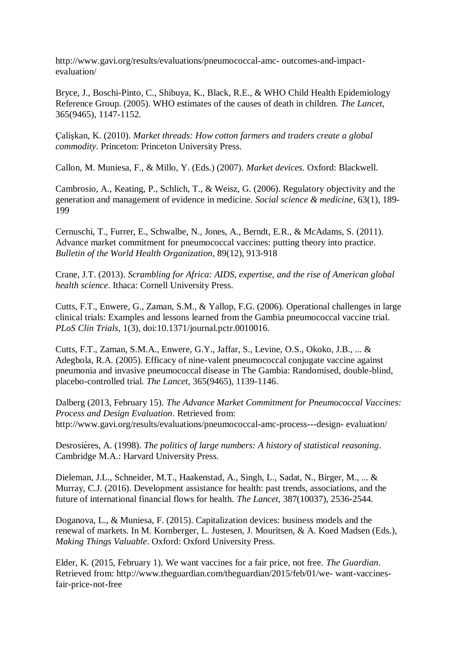http://www.gavi.org/results/evaluations/pneumococcal-amc- outcomes-and-impactevaluation/

Bryce, J., Boschi-Pinto, C., Shibuya, K., Black, R.E., & WHO Child Health Epidemiology Reference Group. (2005). WHO estimates of the causes of death in children. *The Lancet*, 365(9465), 1147-1152.

Ç alişkan, K. (2010). *Market threads: How cotton farmers and traders create a global commodity*. Princeton: Princeton University Press.

Callon, M. Muniesa, F., & Millo, Y. (Eds.) (2007). *Market devices*. Oxford: Blackwell.

Cambrosio, A., Keating, P., Schlich, T., & Weisz, G. (2006). Regulatory objectivity and the generation and management of evidence in medicine. *Social science & medicine*, 63(1), 189- 199

Cernuschi, T., Furrer, E., Schwalbe, N., Jones, A., Berndt, E.R., & McAdams, S. (2011). Advance market commitment for pneumococcal vaccines: putting theory into practice. *Bulletin of the World Health Organization*, 89(12), 913-918

Crane, J.T. (2013). *Scrambling for Africa: AIDS, expertise, and the rise of American global health science*. Ithaca: Cornell University Press.

Cutts, F.T., Enwere, G., Zaman, S.M., & Yallop, F.G. (2006). Operational challenges in large clinical trials: Examples and lessons learned from the Gambia pneumococcal vaccine trial. *PLoS Clin Trials*, 1(3), doi:10.1371/journal.pctr.0010016.

Cutts, F.T., Zaman, S.M.A., Enwere, G.Y., Jaffar, S., Levine, O.S., Okoko, J.B., ... & Adegbola, R.A. (2005). Efficacy of nine-valent pneumococcal conjugate vaccine against pneumonia and invasive pneumococcal disease in The Gambia: Randomised, double-blind, placebo-controlled trial. *The Lancet*, 365(9465), 1139-1146.

Dalberg (2013, February 15). *The Advance Market Commitment for Pneumococcal Vaccines: Process and Design Evaluation*. Retrieved from: http://www.gavi.org/results/evaluations/pneumococcal-amc-process---design- evaluation/

Desrosières, A. (1998). *The politics of large numbers: A history of statistical reasoning*. Cambridge M.A.: Harvard University Press.

Dieleman, J.L., Schneider, M.T., Haakenstad, A., Singh, L., Sadat, N., Birger, M., ... & Murray, C.J. (2016). Development assistance for health: past trends, associations, and the future of international financial flows for health. *The Lancet*, 387(10037), 2536-2544.

Doganova, L., & Muniesa, F. (2015). Capitalization devices: business models and the renewal of markets. In M. Kornberger, L. Justesen, J. Mouritsen, & A. Koed Madsen (Eds.), *Making Things Valuable*. Oxford: Oxford University Press.

Elder, K. (2015, February 1). We want vaccines for a fair price, not free. *The Guardian*. Retrieved from: http://www.theguardian.com/theguardian/2015/feb/01/we- want-vaccinesfair-price-not-free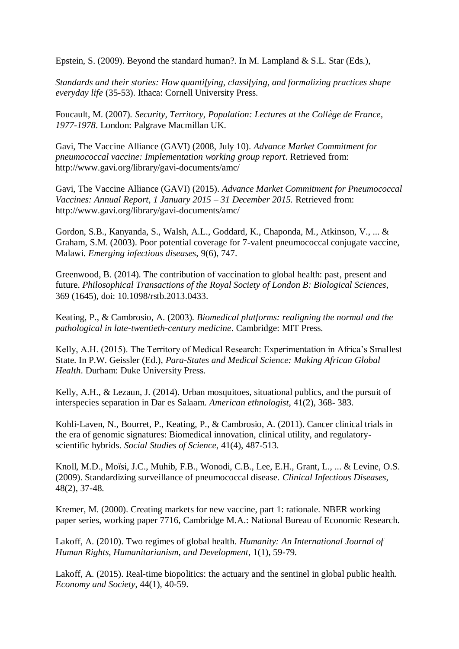Epstein, S. (2009). Beyond the standard human?. In M. Lampland & S.L. Star (Eds.),

*Standards and their stories: How quantifying, classifying, and formalizing practices shape everyday life* (35-53). Ithaca: Cornell University Press.

Foucault, M. (2007). *Security, Territory, Population: Lectures at the Collège de France, 1977-1978*. London: Palgrave Macmillan UK.

Gavi, The Vaccine Alliance (GAVI) (2008, July 10). *Advance Market Commitment for pneumococcal vaccine: Implementation working group report*. Retrieved from: http://www.gavi.org/library/gavi-documents/amc/

Gavi, The Vaccine Alliance (GAVI) (2015). *Advance Market Commitment for Pneumococcal Vaccines: Annual Report, 1 January 2015 – 31 December 2015.* Retrieved from: http://www.gavi.org/library/gavi-documents/amc/

Gordon, S.B., Kanyanda, S., Walsh, A.L., Goddard, K., Chaponda, M., Atkinson, V., ... & Graham, S.M. (2003). Poor potential coverage for 7-valent pneumococcal conjugate vaccine, Malawi. *Emerging infectious diseases*, 9(6), 747.

Greenwood, B. (2014). The contribution of vaccination to global health: past, present and future. *Philosophical Transactions of the Royal Society of London B: Biological Sciences*, 369 (1645), doi: 10.1098/rstb.2013.0433.

Keating, P., & Cambrosio, A. (2003). *Biomedical platforms: realigning the normal and the pathological in late-twentieth-century medicine*. Cambridge: MIT Press.

Kelly, A.H. (2015). The Territory of Medical Research: Experimentation in Africa's Smallest State. In P.W. Geissler (Ed.), *Para-States and Medical Science: Making African Global Health*. Durham: Duke University Press.

Kelly, A.H., & Lezaun, J. (2014). Urban mosquitoes, situational publics, and the pursuit of interspecies separation in Dar es Salaam. *American ethnologist*, 41(2), 368- 383.

Kohli-Laven, N., Bourret, P., Keating, P., & Cambrosio, A. (2011). Cancer clinical trials in the era of genomic signatures: Biomedical innovation, clinical utility, and regulatoryscientific hybrids. *Social Studies of Science*, 41(4), 487-513.

Knoll, M.D., Moïsi, J.C., Muhib, F.B., Wonodi, C.B., Lee, E.H., Grant, L., ... & Levine, O.S. (2009). Standardizing surveillance of pneumococcal disease. *Clinical Infectious Diseases*, 48(2), 37-48.

Kremer, M. (2000). Creating markets for new vaccine, part 1: rationale. NBER working paper series, working paper 7716, Cambridge M.A.: National Bureau of Economic Research.

Lakoff, A. (2010). Two regimes of global health. *Humanity: An International Journal of Human Rights, Humanitarianism, and Development*, 1(1), 59-79.

Lakoff, A. (2015). Real-time biopolitics: the actuary and the sentinel in global public health. *Economy and Society*, 44(1), 40-59.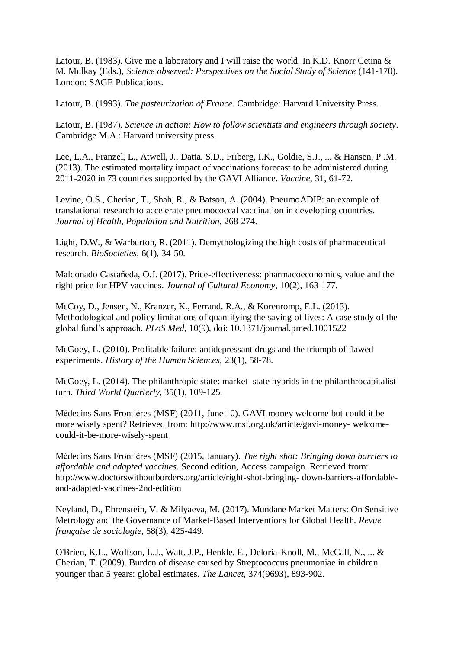Latour, B. (1983). Give me a laboratory and I will raise the world. In K.D. Knorr Cetina & M. Mulkay (Eds.), *Science observed: Perspectives on the Social Study of Science* (141-170). London: SAGE Publications.

Latour, B. (1993). *The pasteurization of France*. Cambridge: Harvard University Press.

Latour, B. (1987). *Science in action: How to follow scientists and engineers through society*. Cambridge M.A.: Harvard university press.

Lee, L.A., Franzel, L., Atwell, J., Datta, S.D., Friberg, I.K., Goldie, S.J., ... & Hansen, P .M. (2013). The estimated mortality impact of vaccinations forecast to be administered during 2011-2020 in 73 countries supported by the GAVI Alliance. *Vaccine*, 31, 61-72.

Levine, O.S., Cherian, T., Shah, R., & Batson, A. (2004). PneumoADIP: an example of translational research to accelerate pneumococcal vaccination in developing countries. *Journal of Health, Population and Nutrition*, 268-274.

Light, D.W., & Warburton, R. (2011). Demythologizing the high costs of pharmaceutical research. *BioSocieties*, 6(1), 34-50.

Maldonado Castañeda, O.J. (2017). Price-effectiveness: pharmacoeconomics, value and the right price for HPV vaccines. *Journal of Cultural Economy*, 10(2), 163-177.

McCoy, D., Jensen, N., Kranzer, K., Ferrand. R.A., & Korenromp, E.L. (2013). Methodological and policy limitations of quantifying the saving of lives: A case study of the global fund's approach. *PLoS Med*, 10(9), doi: 10.1371/journal.pmed.1001522

McGoey, L. (2010). Profitable failure: antidepressant drugs and the triumph of flawed experiments. *History of the Human Sciences*, 23(1), 58-78.

McGoey, L. (2014). The philanthropic state: market–state hybrids in the philanthrocapitalist turn. *Third World Quarterly*, 35(1), 109-125.

Médecins Sans Frontières (MSF) (2011, June 10). GAVI money welcome but could it be more wisely spent? Retrieved from: http://www.msf.org.uk/article/gavi-money- welcomecould-it-be-more-wisely-spent

Médecins Sans Frontières (MSF) (2015, January). *The right shot: Bringing down barriers to affordable and adapted vaccines*. Second edition, Access campaign. Retrieved from: http://www.doctorswithoutborders.org/article/right-shot-bringing- down-barriers-affordableand-adapted-vaccines-2nd-edition

Neyland, D., Ehrenstein, V. & Milyaeva, M. (2017). Mundane Market Matters: On Sensitive Metrology and the Governance of Market-Based Interventions for Global Health. *Revue française de sociologie*, 58(3), 425-449.

O'Brien, K.L., Wolfson, L.J., Watt, J.P., Henkle, E., Deloria-Knoll, M., McCall, N., ... & Cherian, T. (2009). Burden of disease caused by Streptococcus pneumoniae in children younger than 5 years: global estimates. *The Lancet*, 374(9693), 893-902.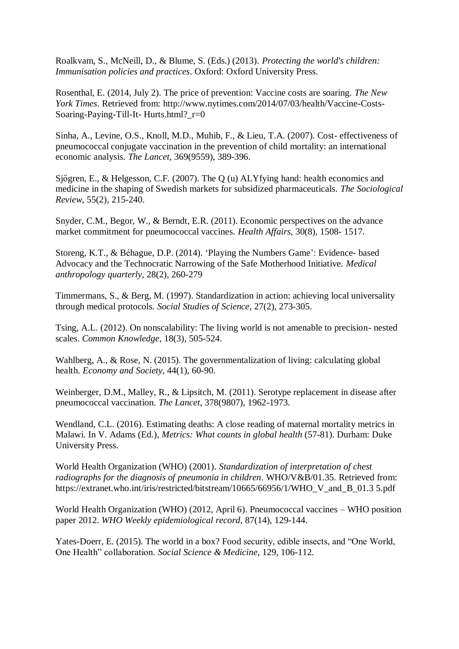Roalkvam, S., McNeill, D., & Blume, S. (Eds.) (2013). *Protecting the world's children: Immunisation policies and practices*. Oxford: Oxford University Press.

Rosenthal, E. (2014, July 2). The price of prevention: Vaccine costs are soaring. *The New York Times*. Retrieved from: http://www.nytimes.com/2014/07/03/health/Vaccine-Costs-Soaring-Paying-Till-It- Hurts.html? r=0

Sinha, A., Levine, O.S., Knoll, M.D., Muhib, F., & Lieu, T.A. (2007). Cost- effectiveness of pneumococcal conjugate vaccination in the prevention of child mortality: an international economic analysis. *The Lancet*, 369(9559), 389-396.

Sjögren, E., & Helgesson, C.F. (2007). The Q (u) ALYfying hand: health economics and medicine in the shaping of Swedish markets for subsidized pharmaceuticals. *The Sociological Review*, 55(2), 215-240.

Snyder, C.M., Begor, W., & Berndt, E.R. (2011). Economic perspectives on the advance market commitment for pneumococcal vaccines. *Health Affairs*, 30(8), 1508- 1517.

Storeng, K.T., & Béhague, D.P. (2014). 'Playing the Numbers Game': Evidence- based Advocacy and the Technocratic Narrowing of the Safe Motherhood Initiative. *Medical anthropology quarterly*, 28(2), 260-279

Timmermans, S., & Berg, M. (1997). Standardization in action: achieving local universality through medical protocols. *Social Studies of Science*, 27(2), 273-305.

Tsing, A.L. (2012). On nonscalability: The living world is not amenable to precision- nested scales. *Common Knowledge*, 18(3), 505-524.

Wahlberg, A., & Rose, N. (2015). The governmentalization of living: calculating global health. *Economy and Society*, 44(1), 60-90.

Weinberger, D.M., Malley, R., & Lipsitch, M. (2011). Serotype replacement in disease after pneumococcal vaccination. *The Lancet*, 378(9807), 1962-1973.

Wendland, C.L. (2016). Estimating deaths: A close reading of maternal mortality metrics in Malawi. In V. Adams (Ed.), *Metrics: What counts in global health* (57-81). Durham: Duke University Press.

World Health Organization (WHO) (2001). *Standardization of interpretation of chest radiographs for the diagnosis of pneumonia in children*. WHO/V&B/01.35. Retrieved from: https://extranet.who.int/iris/restricted/bitstream/10665/66956/1/WHO\_V\_and\_B\_01.3 5.pdf

World Health Organization (WHO) (2012, April 6). Pneumococcal vaccines – WHO position paper 2012. *WHO Weekly epidemiological record*, 87(14), 129-144.

Yates-Doerr, E. (2015). The world in a box? Food security, edible insects, and "One World, One Health" collaboration. *Social Science & Medicine*, 129, 106-112.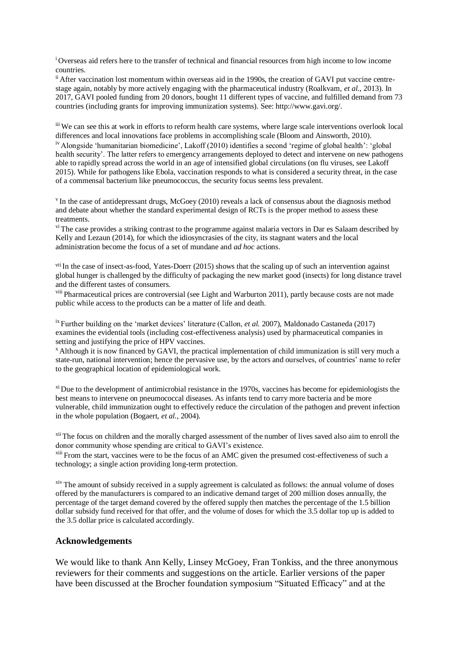<sup>i</sup> Overseas aid refers here to the transfer of technical and financial resources from high income to low income countries.

ii After vaccination lost momentum within overseas aid in the 1990s, the creation of GAVI put vaccine centrestage again, notably by more actively engaging with the pharmaceutical industry (Roalkvam, *et al.*, 2013). In 2017, GAVI pooled funding from 20 donors, bought 11 different types of vaccine, and fulfilled demand from 73 countries (including grants for improving immunization systems). See: http://www.gavi.org/.

iii We can see this at work in efforts to reform health care systems, where large scale interventions overlook local differences and local innovations face problems in accomplishing scale (Bloom and Ainsworth, 2010). iv Alongside 'humanitarian biomedicine', Lakoff (2010) identifies a second 'regime of global health': 'global health security'. The latter refers to emergency arrangements deployed to detect and intervene on new pathogens able to rapidly spread across the world in an age of intensified global circulations (on flu viruses, see Lakoff 2015). While for pathogens like Ebola, vaccination responds to what is considered a security threat, in the case of a commensal bacterium like pneumococcus, the security focus seems less prevalent.

 $\rm{v}$ In the case of antidepressant drugs, McGoey (2010) reveals a lack of consensus about the diagnosis method and debate about whether the standard experimental design of RCTs is the proper method to assess these treatments.

<sup>vi</sup> The case provides a striking contrast to the programme against malaria vectors in Dar es Salaam described by Kelly and Lezaun (2014), for which the idiosyncrasies of the city, its stagnant waters and the local administration become the focus of a set of mundane and *ad hoc* actions.

vii In the case of insect-as-food, Yates-Doerr (2015) shows that the scaling up of such an intervention against global hunger is challenged by the difficulty of packaging the new market good (insects) for long distance travel and the different tastes of consumers.

viii Pharmaceutical prices are controversial (see Light and Warburton 2011), partly because costs are not made public while access to the products can be a matter of life and death.

ix Further building on the 'market devices' literature (Callon, *et al.* 2007), Maldonado Castaneda (2017) examines the evidential tools (including cost-effectiveness analysis) used by pharmaceutical companies in setting and justifying the price of HPV vaccines.

<sup>x</sup>Although it is now financed by GAVI, the practical implementation of child immunization is still very much a state-run, national intervention; hence the pervasive use, by the actors and ourselves, of countries' name to refer to the geographical location of epidemiological work.

xi Due to the development of antimicrobial resistance in the 1970s, vaccines has become for epidemiologists the best means to intervene on pneumococcal diseases. As infants tend to carry more bacteria and be more vulnerable, child immunization ought to effectively reduce the circulation of the pathogen and prevent infection in the whole population (Bogaert, *et al.*, 2004).

<sup>xii</sup> The focus on children and the morally charged assessment of the number of lives saved also aim to enroll the donor community whose spending are critical to GAVI's existence.

<sup>xiii</sup> From the start, vaccines were to be the focus of an AMC given the presumed cost-effectiveness of such a technology; a single action providing long-term protection.

xiv The amount of subsidy received in a supply agreement is calculated as follows: the annual volume of doses offered by the manufacturers is compared to an indicative demand target of 200 million doses annually, the percentage of the target demand covered by the offered supply then matches the percentage of the 1.5 billion dollar subsidy fund received for that offer, and the volume of doses for which the 3.5 dollar top up is added to the 3.5 dollar price is calculated accordingly.

#### **Acknowledgements**

We would like to thank Ann Kelly, Linsey McGoey, Fran Tonkiss, and the three anonymous reviewers for their comments and suggestions on the article. Earlier versions of the paper have been discussed at the Brocher foundation symposium "Situated Efficacy" and at the